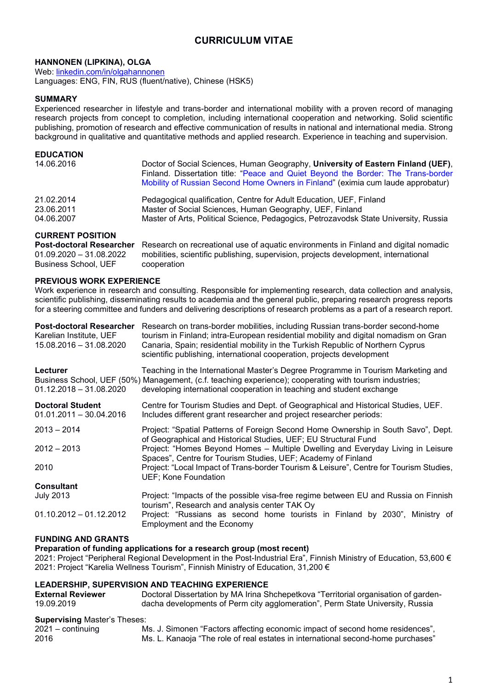# CURRICULUM VITAE

## HANNONEN (LIPKINA), OLGA

Web: linkedin.com/in/olgahannonen Languages: ENG, FIN, RUS (fluent/native), Chinese (HSK5)

### SUMMARY

Experienced researcher in lifestyle and trans-border and international mobility with a proven record of managing research projects from concept to completion, including international cooperation and networking. Solid scientific publishing, promotion of research and effective communication of results in national and international media. Strong background in qualitative and quantitative methods and applied research. Experience in teaching and supervision.

| <b>EDUCATION</b> |                                                                                                                                                                       |
|------------------|-----------------------------------------------------------------------------------------------------------------------------------------------------------------------|
| 14.06.2016       | Doctor of Social Sciences, Human Geography, University of Eastern Finland (UEF),<br>Finland. Dissertation title: "Peace and Quiet Beyond the Border: The Trans-border |
|                  | Mobility of Russian Second Home Owners in Finland" (eximia cum laude approbatur)                                                                                      |
| 21.02.2014       | Pedagogical qualification, Centre for Adult Education, UEF, Finland                                                                                                   |
| 23.06.2011       | Master of Social Sciences, Human Geography, UEF, Finland                                                                                                              |
| 04.06.2007       | Master of Arts, Political Science, Pedagogics, Petrozavodsk State University, Russia                                                                                  |

### CURRENT POSITION

Post-doctoral Researcher Research on recreational use of aquatic environments in Finland and digital nomadic 01.09.2020 – 31.08.2022 mobilities, scientific publishing, supervision, projects development, international Business School, UEF cooperation

### PREVIOUS WORK EXPERIENCE

Work experience in research and consulting. Responsible for implementing research, data collection and analysis, scientific publishing, disseminating results to academia and the general public, preparing research progress reports for a steering committee and funders and delivering descriptions of research problems as a part of a research report.

| <b>Post-doctoral Researcher</b><br>Karelian Institute, UEF<br>15.08.2016 - 31.08.2020 | Research on trans-border mobilities, including Russian trans-border second-home<br>tourism in Finland; intra-European residential mobility and digital nomadism on Gran<br>Canaria, Spain; residential mobility in the Turkish Republic of Northern Cyprus<br>scientific publishing, international cooperation, projects development |
|---------------------------------------------------------------------------------------|--------------------------------------------------------------------------------------------------------------------------------------------------------------------------------------------------------------------------------------------------------------------------------------------------------------------------------------|
| Lecturer<br>$01.12.2018 - 31.08.2020$                                                 | Teaching in the International Master's Degree Programme in Tourism Marketing and<br>Business School, UEF (50%) Management, (c.f. teaching experience); cooperating with tourism industries;<br>developing international cooperation in teaching and student exchange                                                                 |
| <b>Doctoral Student</b><br>$01.01.2011 - 30.04.2016$                                  | Centre for Tourism Studies and Dept. of Geographical and Historical Studies, UEF.<br>Includes different grant researcher and project researcher periods:                                                                                                                                                                             |
| $2013 - 2014$                                                                         | Project: "Spatial Patterns of Foreign Second Home Ownership in South Savo", Dept.<br>of Geographical and Historical Studies, UEF; EU Structural Fund                                                                                                                                                                                 |
| $2012 - 2013$                                                                         | Project: "Homes Beyond Homes - Multiple Dwelling and Everyday Living in Leisure<br>Spaces", Centre for Tourism Studies, UEF; Academy of Finland                                                                                                                                                                                      |
| 2010                                                                                  | Project: "Local Impact of Trans-border Tourism & Leisure", Centre for Tourism Studies,<br>UEF; Kone Foundation                                                                                                                                                                                                                       |
| <b>Consultant</b>                                                                     |                                                                                                                                                                                                                                                                                                                                      |
| <b>July 2013</b>                                                                      | Project: "Impacts of the possible visa-free regime between EU and Russia on Finnish<br>tourism", Research and analysis center TAK Oy                                                                                                                                                                                                 |
| $01.10.2012 - 01.12.2012$                                                             | Project: "Russians as second home tourists in Finland by 2030", Ministry of<br>Employment and the Economy                                                                                                                                                                                                                            |

## FUNDING AND GRANTS

### Preparation of funding applications for a research group (most recent)

2021: Project "Peripheral Regional Development in the Post-Industrial Era", Finnish Ministry of Education, 53,600 € 2021: Project "Karelia Wellness Tourism", Finnish Ministry of Education, 31,200 €

### LEADERSHIP, SUPERVISION AND TEACHING EXPERIENCE

| <b>External Reviewer</b>            | Doctoral Dissertation by MA Irina Shchepetkova "Territorial organisation of garden- |
|-------------------------------------|-------------------------------------------------------------------------------------|
| 19.09.2019                          | dacha developments of Perm city agglomeration", Perm State University, Russia       |
| <b>Supervising Master's Theses:</b> |                                                                                     |
| $2021 -$ continuing                 | Ms. J. Simonen "Factors affecting economic impact of second home residences",       |
|                                     |                                                                                     |

2016 Ms. L. Kanaoja "The role of real estates in international second-home purchases"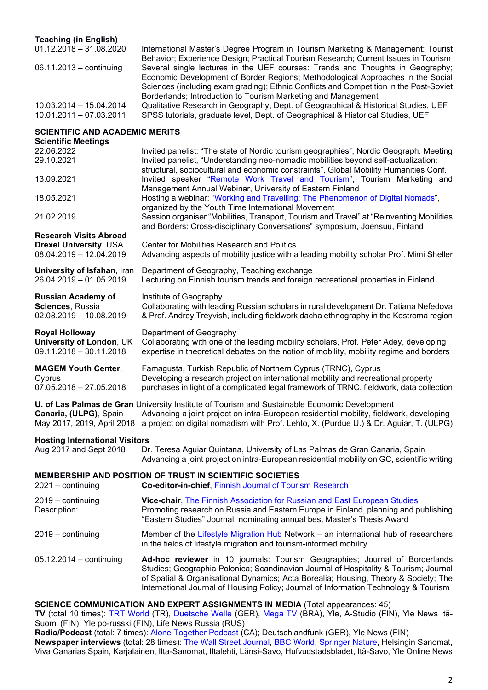### Teaching (in English)

| International Master's Degree Program in Tourism Marketing & Management: Tourist       |
|----------------------------------------------------------------------------------------|
| Behavior; Experience Design; Practical Tourism Research; Current Issues in Tourism     |
| Several single lectures in the UEF courses: Trends and Thoughts in Geography;          |
| Economic Development of Border Regions; Methodological Approaches in the Social        |
| Sciences (including exam grading); Ethnic Conflicts and Competition in the Post-Soviet |
| Borderlands; Introduction to Tourism Marketing and Management                          |
| Qualitative Research in Geography, Dept. of Geographical & Historical Studies, UEF     |
| SPSS tutorials, graduate level, Dept. of Geographical & Historical Studies, UEF        |
|                                                                                        |

## SCIENTIFIC AND ACADEMIC MEDITS

| SCIENTIFIC AND ACADEMIC MENTS<br><b>Scientific Meetings</b>                    |                                                                                                                                                                                                                                                                                                                                                    |
|--------------------------------------------------------------------------------|----------------------------------------------------------------------------------------------------------------------------------------------------------------------------------------------------------------------------------------------------------------------------------------------------------------------------------------------------|
| 22.06.2022                                                                     | Invited panelist: "The state of Nordic tourism geographies", Nordic Geograph. Meeting                                                                                                                                                                                                                                                              |
| 29.10.2021                                                                     | Invited panelist, "Understanding neo-nomadic mobilities beyond self-actualization:<br>structural, sociocultural and economic constraints", Global Mobility Humanities Conf.                                                                                                                                                                        |
| 13.09.2021                                                                     | Invited speaker "Remote Work Travel and Tourism", Tourism Marketing and<br>Management Annual Webinar, University of Eastern Finland                                                                                                                                                                                                                |
| 18.05.2021                                                                     | Hosting a webinar: "Working and Travelling: The Phenomenon of Digital Nomads",<br>organized by the Youth Time International Movement                                                                                                                                                                                                               |
| 21.02.2019                                                                     | Session organiser "Mobilities, Transport, Tourism and Travel" at "Reinventing Mobilities<br>and Borders: Cross-disciplinary Conversations" symposium, Joensuu, Finland                                                                                                                                                                             |
| <b>Research Visits Abroad</b>                                                  |                                                                                                                                                                                                                                                                                                                                                    |
| <b>Drexel University, USA</b><br>08.04.2019 - 12.04.2019                       | <b>Center for Mobilities Research and Politics</b><br>Advancing aspects of mobility justice with a leading mobility scholar Prof. Mimi Sheller                                                                                                                                                                                                     |
| University of Isfahan, Iran<br>26.04.2019 - 01.05.2019                         | Department of Geography, Teaching exchange<br>Lecturing on Finnish tourism trends and foreign recreational properties in Finland                                                                                                                                                                                                                   |
| <b>Russian Academy of</b><br>Sciences, Russia<br>$02.08.2019 - 10.08.2019$     | Institute of Geography<br>Collaborating with leading Russian scholars in rural development Dr. Tatiana Nefedova<br>& Prof. Andrey Treyvish, including fieldwork dacha ethnography in the Kostroma region                                                                                                                                           |
| <b>Royal Holloway</b><br>University of London, UK<br>$09.11.2018 - 30.11.2018$ | Department of Geography<br>Collaborating with one of the leading mobility scholars, Prof. Peter Adey, developing<br>expertise in theoretical debates on the notion of mobility, mobility regime and borders                                                                                                                                        |
| <b>MAGEM Youth Center,</b><br>Cyprus<br>$07.05.2018 - 27.05.2018$              | Famagusta, Turkish Republic of Northern Cyprus (TRNC), Cyprus<br>Developing a research project on international mobility and recreational property<br>purchases in light of a complicated legal framework of TRNC, fieldwork, data collection                                                                                                      |
| Canaria, (ULPG), Spain<br>May 2017, 2019, April 2018                           | U. of Las Palmas de Gran University Institute of Tourism and Sustainable Economic Development<br>Advancing a joint project on intra-European residential mobility, fieldwork, developing<br>a project on digital nomadism with Prof. Lehto, X. (Purdue U.) & Dr. Aguiar, T. (ULPG)                                                                 |
| <b>Hosting International Visitors</b>                                          |                                                                                                                                                                                                                                                                                                                                                    |
| Aug 2017 and Sept 2018                                                         | Dr. Teresa Aguiar Quintana, University of Las Palmas de Gran Canaria, Spain<br>Advancing a joint project on intra-European residential mobility on GC, scientific writing                                                                                                                                                                          |
| 2021 - continuing                                                              | <b>MEMBERSHIP AND POSITION OF TRUST IN SCIENTIFIC SOCIETIES</b><br>Co-editor-in-chief, Finnish Journal of Tourism Research                                                                                                                                                                                                                         |
| 2019 - continuing<br>Description:                                              | Vice-chair, The Finnish Association for Russian and East European Studies<br>Promoting research on Russia and Eastern Europe in Finland, planning and publishing<br>"Eastern Studies" Journal, nominating annual best Master's Thesis Award                                                                                                        |
| 2019 - continuing                                                              | Member of the Lifestyle Migration Hub Network – an international hub of researchers<br>in the fields of lifestyle migration and tourism-informed mobility                                                                                                                                                                                          |
| $05.12.2014 -$ continuing                                                      | Ad-hoc reviewer in 10 journals: Tourism Geographies; Journal of Borderlands<br>Studies; Geographia Polonica; Scandinavian Journal of Hospitality & Tourism; Journal<br>of Spatial & Organisational Dynamics; Acta Borealia; Housing, Theory & Society; The<br>International Journal of Housing Policy; Journal of Information Technology & Tourism |
|                                                                                | <b>SCIENCE COMMUNICATION AND EXPERT ASSIGNMENTS IN MEDIA (Total appearances: 45)</b><br>TV (total 10 times): TRT World (TR) Duetsche Welle (GER) Mega TV (RRA) VIe A-Studio (FIN) VIe News Itä-                                                                                                                                                    |

TV (total 10 times): TRT World (TR), Duetsche Welle (GER), Mega TV (BRA), Yle, A-Studio (FIN), Yle News Itä-Suomi (FIN), Yle po-russki (FIN), Life News Russia (RUS)

Radio/Podcast (total: 7 times): Alone Together Podcast (CA); Deutschlandfunk (GER), Yle News (FIN) Newspaper interviews (total: 28 times): The Wall Street Journal, BBC World, Springer Nature, Helsingin Sanomat, Viva Canarias Spain, Karjalainen, Ilta-Sanomat, Iltalehti, Länsi-Savo, Hufvudstadsbladet, Itä-Savo, Yle Online News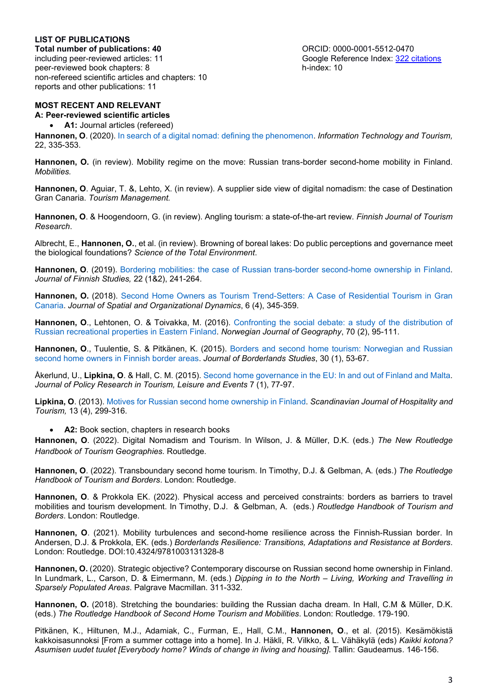## LIST OF PUBLICATIONS

Total number of publications: 40<br>including peer-reviewed articles: 11 Google Reference Index: 322 c peer-reviewed book chapters: 8 non-refereed scientific articles and chapters: 10 reports and other publications: 11

Google Reference Index: 322 citations<br>h-index: 10

## MOST RECENT AND RELEVANT

A: Peer-reviewed scientific articles

A1: Journal articles (refereed)

Hannonen, O. (2020). In search of a digital nomad: defining the phenomenon. Information Technology and Tourism, 22, 335-353.

Hannonen, O. (in review). Mobility regime on the move: Russian trans-border second-home mobility in Finland. Mobilities.

Hannonen, O. Aguiar, T. &, Lehto, X. (in review). A supplier side view of digital nomadism: the case of Destination Gran Canaria. Tourism Management.

Hannonen, O. & Hoogendoorn, G. (in review). Angling tourism: a state-of-the-art review. Finnish Journal of Tourism Research.

Albrecht, E., Hannonen, O., et al. (in review). Browning of boreal lakes: Do public perceptions and governance meet the biological foundations? Science of the Total Environment.

Hannonen, O. (2019). Bordering mobilities: the case of Russian trans-border second-home ownership in Finland. Journal of Finnish Studies, 22 (1&2), 241-264.

Hannonen, O. (2018). Second Home Owners as Tourism Trend-Setters: A Case of Residential Tourism in Gran Canaria. Journal of Spatial and Organizational Dynamics, 6 (4), 345-359.

Hannonen, O., Lehtonen, O. & Toivakka, M. (2016). Confronting the social debate: a study of the distribution of Russian recreational properties in Eastern Finland. Norwegian Journal of Geography, 70 (2), 95-111.

Hannonen, O., Tuulentie, S. & Pitkänen, K. (2015). Borders and second home tourism: Norwegian and Russian second home owners in Finnish border areas. Journal of Borderlands Studies, 30 (1), 53-67.

Åkerlund, U., Lipkina, O. & Hall, C. M. (2015). Second home governance in the EU: In and out of Finland and Malta. Journal of Policy Research in Tourism, Leisure and Events 7 (1), 77-97.

Lipkina, O. (2013). Motives for Russian second home ownership in Finland. Scandinavian Journal of Hospitality and Tourism, 13 (4), 299-316.

A2: Book section, chapters in research books

Hannonen, O. (2022). Digital Nomadism and Tourism. In Wilson, J. & Müller, D.K. (eds.) The New Routledge Handbook of Tourism Geographies. Routledge.

Hannonen, O. (2022). Transboundary second home tourism. In Timothy, D.J. & Gelbman, A. (eds.) The Routledge Handbook of Tourism and Borders. London: Routledge.

Hannonen, O. & Prokkola EK. (2022). Physical access and perceived constraints: borders as barriers to travel mobilities and tourism development. In Timothy, D.J. & Gelbman, A. (eds.) Routledge Handbook of Tourism and Borders. London: Routledge.

Hannonen, O. (2021). Mobility turbulences and second-home resilience across the Finnish-Russian border. In Andersen, D.J. & Prokkola, EK. (eds.) Borderlands Resilience: Transitions, Adaptations and Resistance at Borders. London: Routledge. DOI:10.4324/9781003131328-8

Hannonen, O. (2020). Strategic objective? Contemporary discourse on Russian second home ownership in Finland. In Lundmark, L., Carson, D. & Eimermann, M. (eds.) Dipping in to the North – Living, Working and Travelling in Sparsely Populated Areas. Palgrave Macmillan. 311-332.

Hannonen, O. (2018). Stretching the boundaries: building the Russian dacha dream. In Hall, C.M & Müller, D.K. (eds.) The Routledge Handbook of Second Home Tourism and Mobilities. London: Routledge. 179-190.

Pitkänen, K., Hiltunen, M.J., Adamiak, C., Furman, E., Hall, C.M., Hannonen, O., et al. (2015). Kesämökistä kakkoisasunnoksi [From a summer cottage into a home]. In J. Häkli, R. Vilkko, & L. Vähäkylä (eds) Kaikki kotona? Asumisen uudet tuulet [Everybody home? Winds of change in living and housing]. Tallin: Gaudeamus. 146-156.